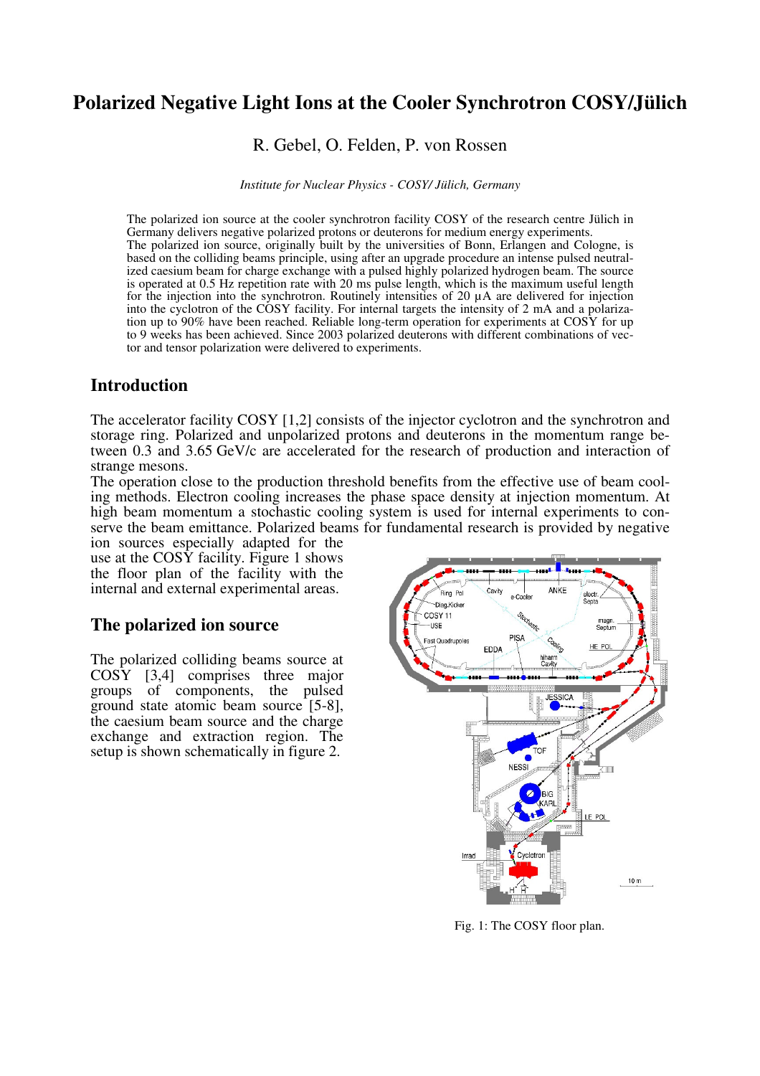# **Polarized Negative Light Ions at the Cooler Synchrotron COSY/Jülich**

R. Gebel, O. Felden, P. von Rossen

*Institute for Nuclear Physics - COSY/ Jülich, Germany*

The polarized ion source at the cooler synchrotron facility COSY of the research centre Jülich in Germany delivers negative polarized protons or deuterons for medium energy experiments. The polarized ion source, originally built by the universities of Bonn, Erlangen and Cologne, is based on the colliding beams principle, using after an upgrade procedure an intense pulsed neutralized caesium beam for charge exchange with a pulsed highly polarized hydrogen beam. The source is operated at 0.5 Hz repetition rate with 20 ms pulse length, which is the maximum useful length for the injection into the synchrotron. Routinely intensities of 20 µA are delivered for injection into the cyclotron of the COSY facility. For internal targets the intensity of 2 mA and a polarization up to 90% have been reached. Reliable long-term operation for experiments at COSY for up to 9 weeks has been achieved. Since 2003 polarized deuterons with different combinations of vector and tensor polarization were delivered to experiments.

## **Introduction**

The accelerator facility COSY [1,2] consists of the injector cyclotron and the synchrotron and storage ring. Polarized and unpolarized protons and deuterons in the momentum range between 0.3 and 3.65 GeV/c are accelerated for the research of production and interaction of strange mesons.

The operation close to the production threshold benefits from the effective use of beam cooling methods. Electron cooling increases the phase space density at injection momentum. At high beam momentum a stochastic cooling system is used for internal experiments to conserve the beam emittance. Polarized beams for fundamental research is provided by negative

ion sources especially adapted for the use at the  $\cos Y$  facility. Figure 1 shows the floor plan of the facility with the internal and external experimental areas.

## **The polarized ion source**

The polarized colliding beams source at COSY [3,4] comprises three major groups of components, the pulsed ground state atomic beam source [5-8], the caesium beam source and the charge exchange and extraction region. The setup is shown schematically in figure 2.



Fig. 1: The COSY floor plan.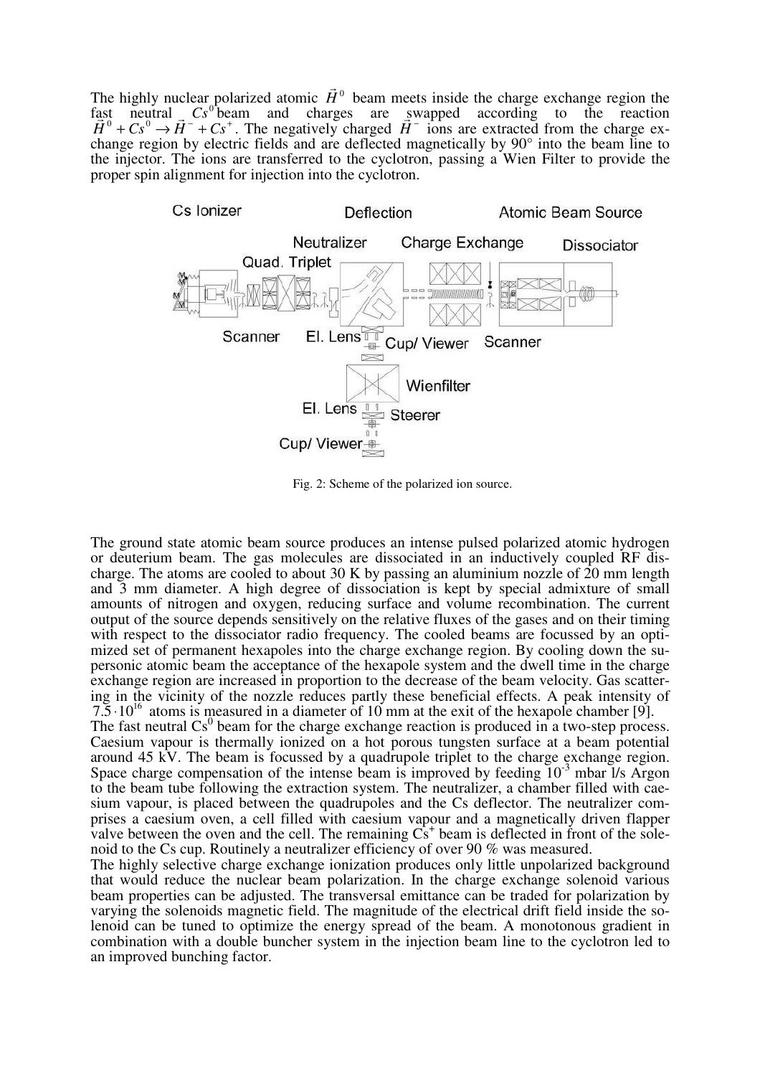The highly nuclear polarized atomic  $\vec{H}^0$  $\overline{\phantom{a}}$ beam meets inside the charge exchange region the fast neutral Cs<sup>o+</sup>beam and charges are swapped according to the reaction  $\vec{H}^0 + Cs^0 \rightarrow \vec{H}^- + Cs^+$ ast neutral  $Cs^0$  beam and charges are sw<br> $\overline{H}^0 + Cs^0 \rightarrow \overline{H}^- + Cs^+$ . The negatively charged  $\overline{H}^ \ddot{\mathbf{S}}$ ions are extracted from the charge exchange region by electric fields and are deflected magnetically by 90° into the beam line to the injector. The ions are transferred to the cyclotron, passing a Wien Filter to provide the proper spin alignment for injection into the cyclotron.



Fig. 2: Scheme of the polarized ion source.

The ground state atomic beam source produces an intense pulsed polarized atomic hydrogen or deuterium beam. The gas molecules are dissociated in an inductively coupled RF discharge. The atoms are cooled to about 30 K by passing an aluminium nozzle of 20 mm length and 3 mm diameter. A high degree of dissociation is kept by special admixture of small amounts of nitrogen and oxygen, reducing surface and volume recombination. The current output of the source depends sensitively on the relative fluxes of the gases and on their timing with respect to the dissociator radio frequency. The cooled beams are focussed by an optimized set of permanent hexapoles into the charge exchange region. By cooling down the supersonic atomic beam the acceptance of the hexapole system and the dwell time in the charge exchange region are increased in proportion to the decrease of the beam velocity. Gas scattering in the vicinity of the nozzle reduces partly these beneficial effects. A peak intensity of  $7.5 \cdot 10^{16}$  atoms is measured in a diameter of 10 mm at the exit of the hexapole chamber [9].

The fast neutral  $\text{Cs}^0$  beam for the charge exchange reaction is produced in a two-step process. Caesium vapour is thermally ionized on a hot porous tungsten surface at a beam potential around 45 kV. The beam is focussed by a quadrupole triplet to the charge exchange region. Space charge compensation of the intense beam is improved by feeding  $10^{-3}$  mbar  $1/s$  Argon to the beam tube following the extraction system. The neutralizer, a chamber filled with caesium vapour, is placed between the quadrupoles and the Cs deflector. The neutralizer comprises a caesium oven, a cell filled with caesium vapour and a magnetically driven flapper valve between the oven and the cell. The remaining  $\dot{Cs}^+$  beam is deflected in front of the solenoid to the Cs cup. Routinely a neutralizer efficiency of over 90 % was measured.

The highly selective charge exchange ionization produces only little unpolarized background that would reduce the nuclear beam polarization. In the charge exchange solenoid various beam properties can be adjusted. The transversal emittance can be traded for polarization by varying the solenoids magnetic field. The magnitude of the electrical drift field inside the solenoid can be tuned to optimize the energy spread of the beam. A monotonous gradient in combination with a double buncher system in the injection beam line to the cyclotron led to an improved bunching factor.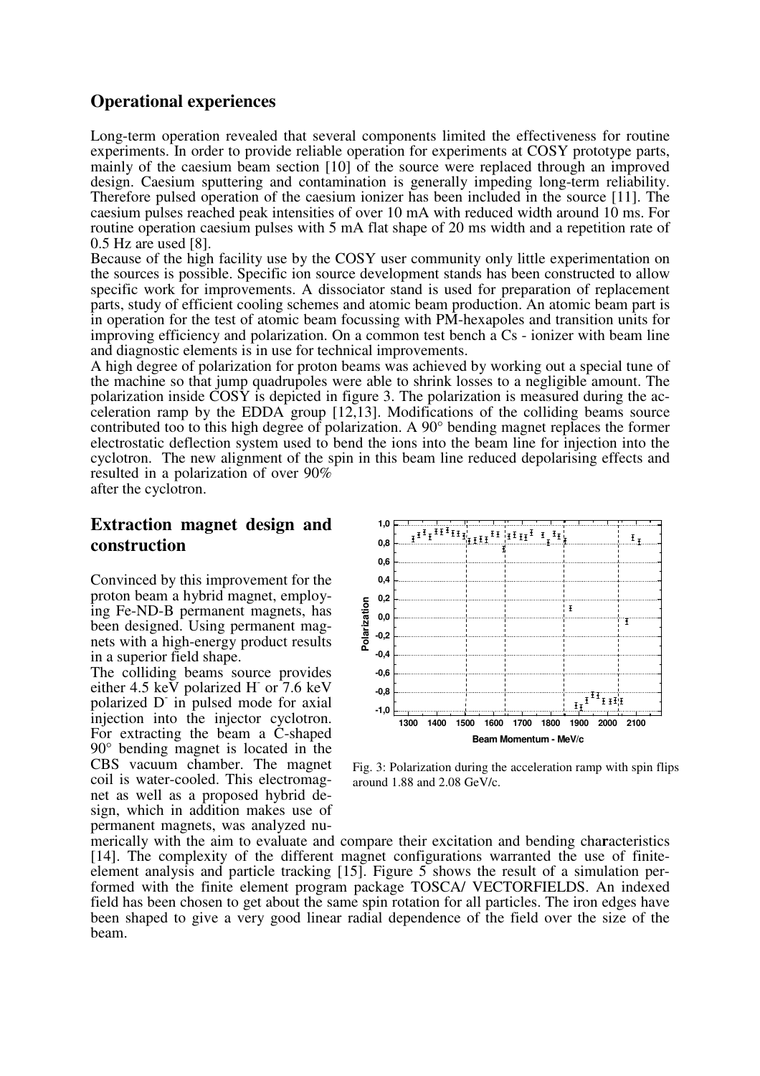## **Operational experiences**

Long-term operation revealed that several components limited the effectiveness for routine experiments. In order to provide reliable operation for experiments at COSY prototype parts, mainly of the caesium beam section [10] of the source were replaced through an improved design. Caesium sputtering and contamination is generally impeding long-term reliability. Therefore pulsed operation of the caesium ionizer has been included in the source [11]. The caesium pulses reached peak intensities of over 10 mA with reduced width around 10 ms. For routine operation caesium pulses with 5 mA flat shape of 20 ms width and a repetition rate of 0.5 Hz are used [8].

Because of the high facility use by the COSY user community only little experimentation on the sources is possible. Specific ion source development stands has been constructed to allow specific work for improvements. A dissociator stand is used for preparation of replacement parts, study of efficient cooling schemes and atomic beam production. An atomic beam part is in operation for the test of atomic beam focussing with PM-hexapoles and transition units for improving efficiency and polarization. On a common test bench a Cs - ionizer with beam line and diagnostic elements is in use for technical improvements.

A high degree of polarization for proton beams was achieved by working out a special tune of the machine so that jump quadrupoles were able to shrink losses to a negligible amount. The polarization inside COSY is depicted in figure 3. The polarization is measured during the acceleration ramp by the EDDA group [12,13]. Modifications of the colliding beams source contributed too to this high degree of polarization. A 90° bending magnet replaces the former electrostatic deflection system used to bend the ions into the beam line for injection into the cyclotron. The new alignment of the spin in this beam line reduced depolarising effects and resulted in a polarization of over 90% after the cyclotron.

## **Extraction magnet design and construction**

Convinced by this improvement for the proton beam a hybrid magnet, employing Fe-ND-B permanent magnets, has been designed. Using permanent magnets with a high-energy product results in a superior field shape.

The colliding beams source provides either 4.5 keV polarized H or  $7.6 \text{ keV}$ polarized D in pulsed mode for axial injection into the injector cyclotron. For extracting the beam a C-shaped 90° bending magnet is located in the CBS vacuum chamber. The magnet coil is water-cooled. This electromagnet as well as a proposed hybrid design, which in addition makes use of permanent magnets, was analyzed nu-



Fig. 3: Polarization during the acceleration ramp with spin flips around 1.88 and 2.08 GeV/c.

merically with the aim to evaluate and compare their excitation and bending cha**r**acteristics [14]. The complexity of the different magnet configurations warranted the use of finiteelement analysis and particle tracking [15]. Figure 5 shows the result of a simulation performed with the finite element program package TOSCA/ VECTORFIELDS. An indexed field has been chosen to get about the same spin rotation for all particles. The iron edges have been shaped to give a very good linear radial dependence of the field over the size of the beam.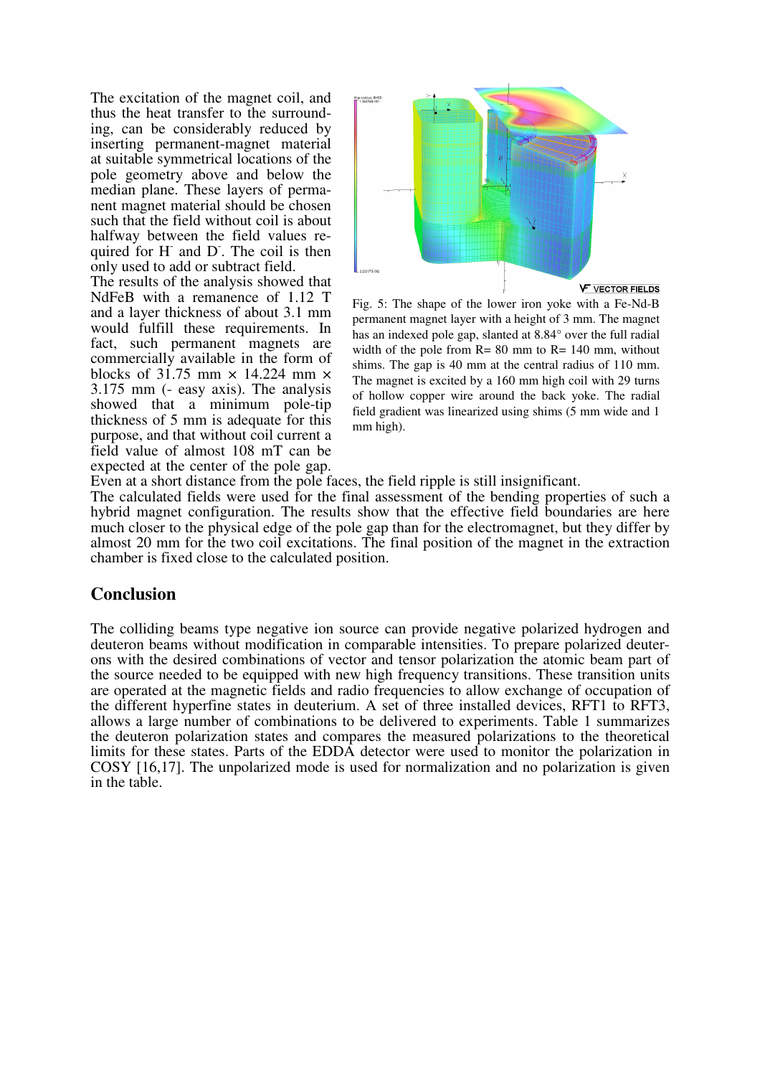The excitation of the magnet coil, and thus the heat transfer to the surrounding, can be considerably reduced by inserting permanent-magnet material at suitable symmetrical locations of the pole geometry above and below the median plane. These layers of permanent magnet material should be chosen such that the field without coil is about halfway between the field values required for H and D. The coil is then only used to add or subtract field.

The results of the analysis showed that NdFeB with a remanence of 1.12 T and a layer thickness of about 3.1 mm would fulfill these requirements. In fact, such permanent magnets are commercially available in the form of blocks of 31.75 mm  $\times$  14.224 mm  $\times$ 3.175 mm (- easy axis). The analysis showed that a minimum pole-tip thickness of 5 mm is adequate for this purpose, and that without coil current a field value of almost 108 mT can be expected at the center of the pole gap.



Fig. 5: The shape of the lower iron yoke with a Fe-Nd-B permanent magnet layer with a height of 3 mm. The magnet has an indexed pole gap, slanted at 8.84° over the full radial width of the pole from  $R = 80$  mm to  $R = 140$  mm, without shims. The gap is 40 mm at the central radius of 110 mm. The magnet is excited by a 160 mm high coil with 29 turns of hollow copper wire around the back yoke. The radial field gradient was linearized using shims (5 mm wide and 1 mm high).

Even at a short distance from the pole faces, the field ripple is still insignificant.

The calculated fields were used for the final assessment of the bending properties of such a hybrid magnet configuration. The results show that the effective field boundaries are here much closer to the physical edge of the pole gap than for the electromagnet, but they differ by almost 20 mm for the two coil excitations. The final position of the magnet in the extraction chamber is fixed close to the calculated position.

#### **Conclusion**

The colliding beams type negative ion source can provide negative polarized hydrogen and deuteron beams without modification in comparable intensities. To prepare polarized deuterons with the desired combinations of vector and tensor polarization the atomic beam part of the source needed to be equipped with new high frequency transitions. These transition units are operated at the magnetic fields and radio frequencies to allow exchange of occupation of the different hyperfine states in deuterium. A set of three installed devices, RFT1 to RFT3, allows a large number of combinations to be delivered to experiments. Table 1 summarizes the deuteron polarization states and compares the measured polarizations to the theoretical limits for these states. Parts of the EDDA detector were used to monitor the polarization in COSY [16,17]. The unpolarized mode is used for normalization and no polarization is given in the table.